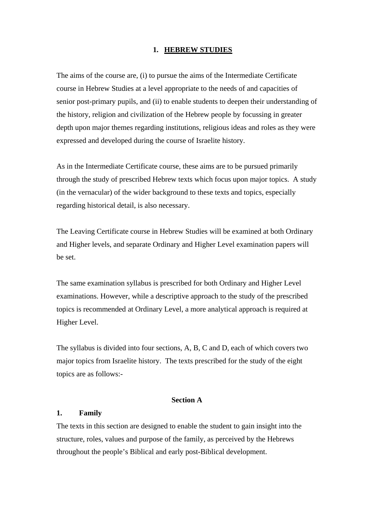### **1. HEBREW STUDIES**

The aims of the course are, (i) to pursue the aims of the Intermediate Certificate course in Hebrew Studies at a level appropriate to the needs of and capacities of senior post-primary pupils, and (ii) to enable students to deepen their understanding of the history, religion and civilization of the Hebrew people by focussing in greater depth upon major themes regarding institutions, religious ideas and roles as they were expressed and developed during the course of Israelite history.

As in the Intermediate Certificate course, these aims are to be pursued primarily through the study of prescribed Hebrew texts which focus upon major topics. A study (in the vernacular) of the wider background to these texts and topics, especially regarding historical detail, is also necessary.

The Leaving Certificate course in Hebrew Studies will be examined at both Ordinary and Higher levels, and separate Ordinary and Higher Level examination papers will be set.

The same examination syllabus is prescribed for both Ordinary and Higher Level examinations. However, while a descriptive approach to the study of the prescribed topics is recommended at Ordinary Level, a more analytical approach is required at Higher Level.

The syllabus is divided into four sections, A, B, C and D, each of which covers two major topics from Israelite history. The texts prescribed for the study of the eight topics are as follows:-

### **Section A**

### **1. Family**

The texts in this section are designed to enable the student to gain insight into the structure, roles, values and purpose of the family, as perceived by the Hebrews throughout the people's Biblical and early post-Biblical development.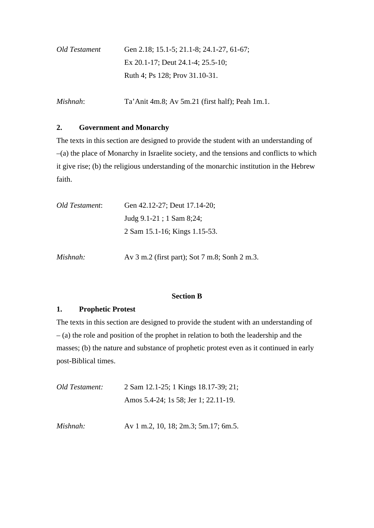| Old Testament | Gen 2.18; 15.1-5; 21.1-8; 24.1-27, 61-67; |
|---------------|-------------------------------------------|
|               | Ex 20.1-17; Deut 24.1-4; 25.5-10;         |
|               | Ruth 4; Ps 128; Prov 31.10-31.            |

*Mishnah*: Ta'Anit 4m.8; Av 5m.21 (first half); Peah 1m.1.

# **2. Government and Monarchy**

The texts in this section are designed to provide the student with an understanding of –(a) the place of Monarchy in Israelite society, and the tensions and conflicts to which it give rise; (b) the religious understanding of the monarchic institution in the Hebrew faith.

| Old Testament: | Gen 42.12-27; Deut 17.14-20;  |
|----------------|-------------------------------|
|                | Judg 9.1-21; 1 Sam 8;24;      |
|                | 2 Sam 15.1-16; Kings 1.15-53. |
|                |                               |

*Mishnah:* Av 3 m.2 (first part); Sot 7 m.8; Sonh 2 m.3.

## **Section B**

## **1. Prophetic Protest**

The texts in this section are designed to provide the student with an understanding of – (a) the role and position of the prophet in relation to both the leadership and the masses; (b) the nature and substance of prophetic protest even as it continued in early post-Biblical times.

| Old Testament: | 2 Sam 12.1-25; 1 Kings 18.17-39; 21; |
|----------------|--------------------------------------|
|                | Amos 5.4-24; 1s 58; Jer 1; 22.11-19. |

*Mishnah:* Av 1 m.2, 10, 18; 2m.3; 5m.17; 6m.5.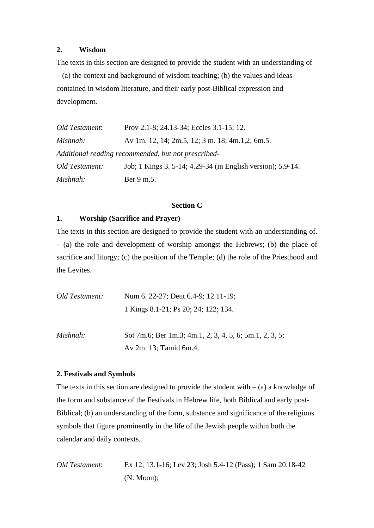## **2. Wisdom**

The texts in this section are designed to provide the student with an understanding of – (a) the context and background of wisdom teaching; (b) the values and ideas contained in wisdom literature, and their early post-Biblical expression and development.

| Old Testament: | Prov 2.1-8; 24.13-34; Eccles 3.1-15; 12.                    |
|----------------|-------------------------------------------------------------|
| Mishnah:       | Av 1m. 12, 14; 2m.5, 12; 3 m. 18; 4m.1,2; 6m.5.             |
|                | Additional reading recommended, but not prescribed-         |
| Old Testament: | Job; 1 Kings 3. 5-14; 4.29-34 (in English version); 5.9-14. |
| Mishnah:       | Ber 9 m.5.                                                  |

#### **Section C**

# **1. Worship (Sacrifice and Prayer)**

The texts in this section are designed to provide the student with an understanding of. – (a) the role and development of worship amongst the Hebrews; (b) the place of sacrifice and liturgy; (c) the position of the Temple; (d) the role of the Priesthood and the Levites.

| Old Testament: | Num 6. 22-27; Deut 6.4-9; 12.11-19;                     |
|----------------|---------------------------------------------------------|
|                | 1 Kings 8.1-21; Ps 20; 24; 122; 134.                    |
| Mishnah:       | Sot 7m.6; Ber 1m.3; 4m.1, 2, 3, 4, 5, 6; 5m.1, 2, 3, 5; |
|                | Av 2m. 13; Tamid 6m.4.                                  |

# **2. Festivals and Symbols**

The texts in this section are designed to provide the student with  $-$  (a) a knowledge of the form and substance of the Festivals in Hebrew life, both Biblical and early post-Biblical; (b) an understanding of the form, substance and significance of the religious symbols that figure prominently in the life of the Jewish people within both the calendar and daily contexts.

```
Old Testament: Ex 12; 13.1-16; Lev 23; Josh 5.4-12 (Pass); 1 Sam 20.18-42 
        (N. Moon);
```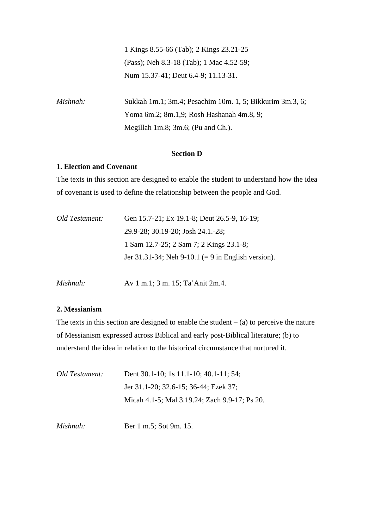1 Kings 8.55-66 (Tab); 2 Kings 23.21-25 (Pass); Neh 8.3-18 (Tab); 1 Mac 4.52-59; Num 15.37-41; Deut 6.4-9; 11.13-31.

*Mishnah:* Sukkah 1m.1; 3m.4; Pesachim 10m. 1, 5; Bikkurim 3m.3, 6; Yoma 6m.2; 8m.1,9; Rosh Hashanah 4m.8, 9; Megillah 1m.8; 3m.6; (Pu and Ch.).

### **Section D**

### **1. Election and Covenant**

The texts in this section are designed to enable the student to understand how the idea of covenant is used to define the relationship between the people and God.

| Old Testament: | Gen 15.7-21; Ex 19.1-8; Deut 26.5-9, 16-19;                  |
|----------------|--------------------------------------------------------------|
|                | 29.9-28; 30.19-20; Josh 24.1.-28;                            |
|                | 1 Sam 12.7-25; 2 Sam 7; 2 Kings 23.1-8;                      |
|                | Jer 31.31-34; Neh 9-10.1 $(= 9 \text{ in English version}).$ |
|                |                                                              |

*Mishnah:* Av 1 m.1; 3 m. 15; Ta'Anit 2m.4.

### **2. Messianism**

The texts in this section are designed to enable the student  $-$  (a) to perceive the nature of Messianism expressed across Biblical and early post-Biblical literature; (b) to understand the idea in relation to the historical circumstance that nurtured it.

| Old Testament: | Dent 30.1-10; 1s 11.1-10; 40.1-11; 54;        |
|----------------|-----------------------------------------------|
|                | Jer 31.1-20; 32.6-15; 36-44; Ezek 37;         |
|                | Micah 4.1-5; Mal 3.19.24; Zach 9.9-17; Ps 20. |

*Mishnah:* **Ber 1 m.5: Sot 9m. 15.**